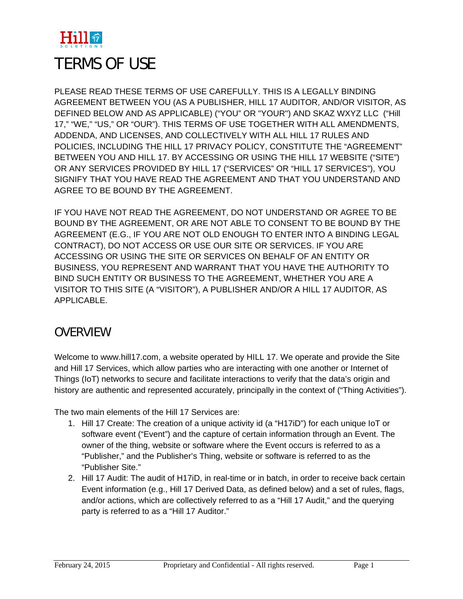

# TERMS OF USE

PLEASE READ THESE TERMS OF USE CAREFULLY. THIS IS A LEGALLY BINDING AGREEMENT BETWEEN YOU (AS A PUBLISHER, HILL 17 AUDITOR, AND/OR VISITOR, AS DEFINED BELOW AND AS APPLICABLE) ("YOU" OR "YOUR") AND SKAZ WXYZ LLC ("Hill 17," "WE," "US," OR "OUR"). THIS TERMS OF USE TOGETHER WITH ALL AMENDMENTS, ADDENDA, AND LICENSES, AND COLLECTIVELY WITH ALL HILL 17 RULES AND POLICIES, INCLUDING THE HILL 17 PRIVACY POLICY, CONSTITUTE THE "AGREEMENT" BETWEEN YOU AND HILL 17. BY ACCESSING OR USING THE HILL 17 WEBSITE ("SITE") OR ANY SERVICES PROVIDED BY HILL 17 ("SERVICES" OR "HILL 17 SERVICES"), YOU SIGNIFY THAT YOU HAVE READ THE AGREEMENT AND THAT YOU UNDERSTAND AND AGREE TO BE BOUND BY THE AGREEMENT.

IF YOU HAVE NOT READ THE AGREEMENT, DO NOT UNDERSTAND OR AGREE TO BE BOUND BY THE AGREEMENT, OR ARE NOT ABLE TO CONSENT TO BE BOUND BY THE AGREEMENT (E.G., IF YOU ARE NOT OLD ENOUGH TO ENTER INTO A BINDING LEGAL CONTRACT), DO NOT ACCESS OR USE OUR SITE OR SERVICES. IF YOU ARE ACCESSING OR USING THE SITE OR SERVICES ON BEHALF OF AN ENTITY OR BUSINESS, YOU REPRESENT AND WARRANT THAT YOU HAVE THE AUTHORITY TO BIND SUCH ENTITY OR BUSINESS TO THE AGREEMENT, WHETHER YOU ARE A VISITOR TO THIS SITE (A "VISITOR"), A PUBLISHER AND/OR A HILL 17 AUDITOR, AS APPLICABLE.

#### OVERVIEW

Welcome to www.hill17.com, a website operated by HILL 17. We operate and provide the Site and Hill 17 Services, which allow parties who are interacting with one another or Internet of Things (IoT) networks to secure and facilitate interactions to verify that the data's origin and history are authentic and represented accurately, principally in the context of ("Thing Activities").

The two main elements of the Hill 17 Services are:

- 1. Hill 17 Create: The creation of a unique activity id (a "H17iD") for each unique IoT or software event ("Event") and the capture of certain information through an Event. The owner of the thing, website or software where the Event occurs is referred to as a "Publisher," and the Publisher's Thing, website or software is referred to as the "Publisher Site."
- 2. Hill 17 Audit: The audit of H17iD, in real-time or in batch, in order to receive back certain Event information (e.g., Hill 17 Derived Data, as defined below) and a set of rules, flags, and/or actions, which are collectively referred to as a "Hill 17 Audit," and the querying party is referred to as a "Hill 17 Auditor."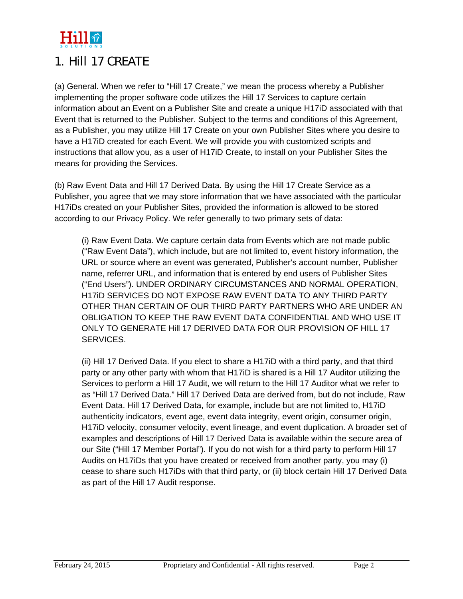

#### 1. Hill 17 CREATE

(a) General. When we refer to "Hill 17 Create," we mean the process whereby a Publisher implementing the proper software code utilizes the Hill 17 Services to capture certain information about an Event on a Publisher Site and create a unique H17iD associated with that Event that is returned to the Publisher. Subject to the terms and conditions of this Agreement, as a Publisher, you may utilize Hill 17 Create on your own Publisher Sites where you desire to have a H17iD created for each Event. We will provide you with customized scripts and instructions that allow you, as a user of H17iD Create, to install on your Publisher Sites the means for providing the Services.

(b) Raw Event Data and Hill 17 Derived Data. By using the Hill 17 Create Service as a Publisher, you agree that we may store information that we have associated with the particular H17iDs created on your Publisher Sites, provided the information is allowed to be stored according to our Privacy Policy. We refer generally to two primary sets of data:

(i) Raw Event Data. We capture certain data from Events which are not made public ("Raw Event Data"), which include, but are not limited to, event history information, the URL or source where an event was generated, Publisher's account number, Publisher name, referrer URL, and information that is entered by end users of Publisher Sites ("End Users"). UNDER ORDINARY CIRCUMSTANCES AND NORMAL OPERATION, H17iD SERVICES DO NOT EXPOSE RAW EVENT DATA TO ANY THIRD PARTY OTHER THAN CERTAIN OF OUR THIRD PARTY PARTNERS WHO ARE UNDER AN OBLIGATION TO KEEP THE RAW EVENT DATA CONFIDENTIAL AND WHO USE IT ONLY TO GENERATE Hill 17 DERIVED DATA FOR OUR PROVISION OF HILL 17 SERVICES.

(ii) Hill 17 Derived Data. If you elect to share a H17iD with a third party, and that third party or any other party with whom that H17iD is shared is a Hill 17 Auditor utilizing the Services to perform a Hill 17 Audit, we will return to the Hill 17 Auditor what we refer to as "Hill 17 Derived Data." Hill 17 Derived Data are derived from, but do not include, Raw Event Data. Hill 17 Derived Data, for example, include but are not limited to, H17iD authenticity indicators, event age, event data integrity, event origin, consumer origin, H17iD velocity, consumer velocity, event lineage, and event duplication. A broader set of examples and descriptions of Hill 17 Derived Data is available within the secure area of our Site ("Hill 17 Member Portal"). If you do not wish for a third party to perform Hill 17 Audits on H17iDs that you have created or received from another party, you may (i) cease to share such H17iDs with that third party, or (ii) block certain Hill 17 Derived Data as part of the Hill 17 Audit response.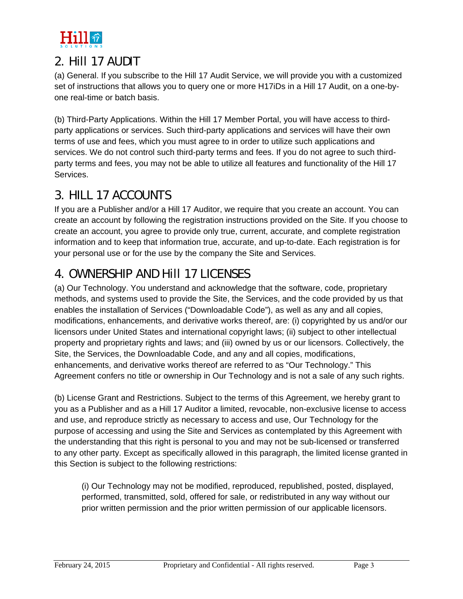

#### 2. Hill 17 AUDIT

(a) General. If you subscribe to the Hill 17 Audit Service, we will provide you with a customized set of instructions that allows you to query one or more H17iDs in a Hill 17 Audit, on a one-byone real-time or batch basis.

(b) Third-Party Applications. Within the Hill 17 Member Portal, you will have access to thirdparty applications or services. Such third-party applications and services will have their own terms of use and fees, which you must agree to in order to utilize such applications and services. We do not control such third-party terms and fees. If you do not agree to such thirdparty terms and fees, you may not be able to utilize all features and functionality of the Hill 17 Services.

# 3. HILL 17 ACCOUNTS

If you are a Publisher and/or a Hill 17 Auditor, we require that you create an account. You can create an account by following the registration instructions provided on the Site. If you choose to create an account, you agree to provide only true, current, accurate, and complete registration information and to keep that information true, accurate, and up-to-date. Each registration is for your personal use or for the use by the company the Site and Services.

# 4. OWNERSHIP AND Hill 17 LICENSES

(a) Our Technology. You understand and acknowledge that the software, code, proprietary methods, and systems used to provide the Site, the Services, and the code provided by us that enables the installation of Services ("Downloadable Code"), as well as any and all copies, modifications, enhancements, and derivative works thereof, are: (i) copyrighted by us and/or our licensors under United States and international copyright laws; (ii) subject to other intellectual property and proprietary rights and laws; and (iii) owned by us or our licensors. Collectively, the Site, the Services, the Downloadable Code, and any and all copies, modifications, enhancements, and derivative works thereof are referred to as "Our Technology." This Agreement confers no title or ownership in Our Technology and is not a sale of any such rights.

(b) License Grant and Restrictions. Subject to the terms of this Agreement, we hereby grant to you as a Publisher and as a Hill 17 Auditor a limited, revocable, non-exclusive license to access and use, and reproduce strictly as necessary to access and use, Our Technology for the purpose of accessing and using the Site and Services as contemplated by this Agreement with the understanding that this right is personal to you and may not be sub-licensed or transferred to any other party. Except as specifically allowed in this paragraph, the limited license granted in this Section is subject to the following restrictions:

(i) Our Technology may not be modified, reproduced, republished, posted, displayed, performed, transmitted, sold, offered for sale, or redistributed in any way without our prior written permission and the prior written permission of our applicable licensors.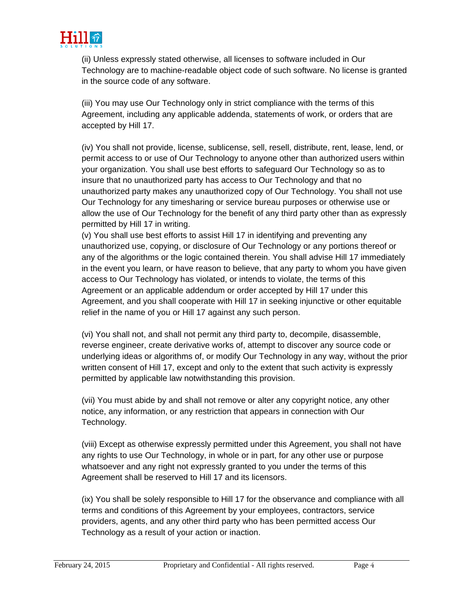

(ii) Unless expressly stated otherwise, all licenses to software included in Our Technology are to machine-readable object code of such software. No license is granted in the source code of any software.

(iii) You may use Our Technology only in strict compliance with the terms of this Agreement, including any applicable addenda, statements of work, or orders that are accepted by Hill 17.

(iv) You shall not provide, license, sublicense, sell, resell, distribute, rent, lease, lend, or permit access to or use of Our Technology to anyone other than authorized users within your organization. You shall use best efforts to safeguard Our Technology so as to insure that no unauthorized party has access to Our Technology and that no unauthorized party makes any unauthorized copy of Our Technology. You shall not use Our Technology for any timesharing or service bureau purposes or otherwise use or allow the use of Our Technology for the benefit of any third party other than as expressly permitted by Hill 17 in writing.

(v) You shall use best efforts to assist Hill 17 in identifying and preventing any unauthorized use, copying, or disclosure of Our Technology or any portions thereof or any of the algorithms or the logic contained therein. You shall advise Hill 17 immediately in the event you learn, or have reason to believe, that any party to whom you have given access to Our Technology has violated, or intends to violate, the terms of this Agreement or an applicable addendum or order accepted by Hill 17 under this Agreement, and you shall cooperate with Hill 17 in seeking injunctive or other equitable relief in the name of you or Hill 17 against any such person.

(vi) You shall not, and shall not permit any third party to, decompile, disassemble, reverse engineer, create derivative works of, attempt to discover any source code or underlying ideas or algorithms of, or modify Our Technology in any way, without the prior written consent of Hill 17, except and only to the extent that such activity is expressly permitted by applicable law notwithstanding this provision.

(vii) You must abide by and shall not remove or alter any copyright notice, any other notice, any information, or any restriction that appears in connection with Our Technology.

(viii) Except as otherwise expressly permitted under this Agreement, you shall not have any rights to use Our Technology, in whole or in part, for any other use or purpose whatsoever and any right not expressly granted to you under the terms of this Agreement shall be reserved to Hill 17 and its licensors.

(ix) You shall be solely responsible to Hill 17 for the observance and compliance with all terms and conditions of this Agreement by your employees, contractors, service providers, agents, and any other third party who has been permitted access Our Technology as a result of your action or inaction.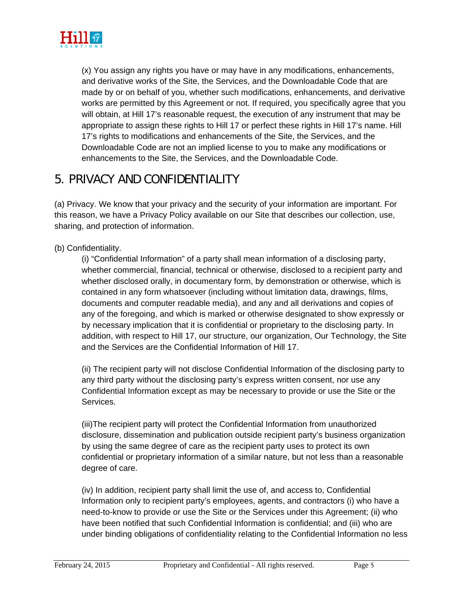

(x) You assign any rights you have or may have in any modifications, enhancements, and derivative works of the Site, the Services, and the Downloadable Code that are made by or on behalf of you, whether such modifications, enhancements, and derivative works are permitted by this Agreement or not. If required, you specifically agree that you will obtain, at Hill 17's reasonable request, the execution of any instrument that may be appropriate to assign these rights to Hill 17 or perfect these rights in Hill 17's name. Hill 17's rights to modifications and enhancements of the Site, the Services, and the Downloadable Code are not an implied license to you to make any modifications or enhancements to the Site, the Services, and the Downloadable Code.

#### 5. PRIVACY AND CONFIDENTIALITY

(a) Privacy. We know that your privacy and the security of your information are important. For this reason, we have a Privacy Policy available on our Site that describes our collection, use, sharing, and protection of information.

#### (b) Confidentiality.

(i) "Confidential Information" of a party shall mean information of a disclosing party, whether commercial, financial, technical or otherwise, disclosed to a recipient party and whether disclosed orally, in documentary form, by demonstration or otherwise, which is contained in any form whatsoever (including without limitation data, drawings, films, documents and computer readable media), and any and all derivations and copies of any of the foregoing, and which is marked or otherwise designated to show expressly or by necessary implication that it is confidential or proprietary to the disclosing party. In addition, with respect to Hill 17, our structure, our organization, Our Technology, the Site and the Services are the Confidential Information of Hill 17.

(ii) The recipient party will not disclose Confidential Information of the disclosing party to any third party without the disclosing party's express written consent, nor use any Confidential Information except as may be necessary to provide or use the Site or the Services.

(iii)The recipient party will protect the Confidential Information from unauthorized disclosure, dissemination and publication outside recipient party's business organization by using the same degree of care as the recipient party uses to protect its own confidential or proprietary information of a similar nature, but not less than a reasonable degree of care.

(iv) In addition, recipient party shall limit the use of, and access to, Confidential Information only to recipient party's employees, agents, and contractors (i) who have a need-to-know to provide or use the Site or the Services under this Agreement; (ii) who have been notified that such Confidential Information is confidential; and (iii) who are under binding obligations of confidentiality relating to the Confidential Information no less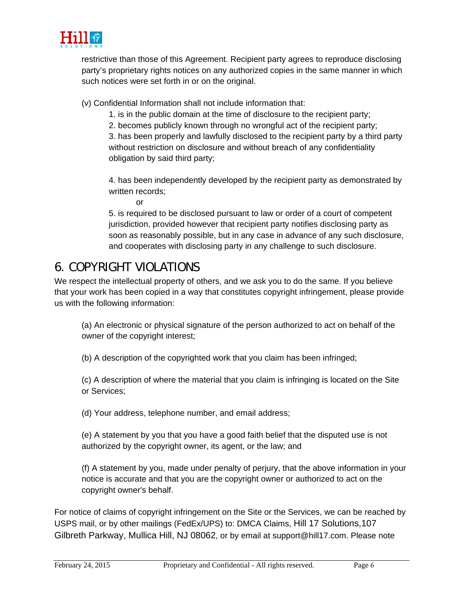

restrictive than those of this Agreement. Recipient party agrees to reproduce disclosing party's proprietary rights notices on any authorized copies in the same manner in which such notices were set forth in or on the original.

(v) Confidential Information shall not include information that:

- 1. is in the public domain at the time of disclosure to the recipient party;
- 2. becomes publicly known through no wrongful act of the recipient party;

3. has been properly and lawfully disclosed to the recipient party by a third party without restriction on disclosure and without breach of any confidentiality obligation by said third party;

4. has been independently developed by the recipient party as demonstrated by written records;

or

5. is required to be disclosed pursuant to law or order of a court of competent jurisdiction, provided however that recipient party notifies disclosing party as soon as reasonably possible, but in any case in advance of any such disclosure, and cooperates with disclosing party in any challenge to such disclosure.

### 6. COPYRIGHT VIOLATIONS

We respect the intellectual property of others, and we ask you to do the same. If you believe that your work has been copied in a way that constitutes copyright infringement, please provide us with the following information:

(a) An electronic or physical signature of the person authorized to act on behalf of the owner of the copyright interest;

(b) A description of the copyrighted work that you claim has been infringed;

(c) A description of where the material that you claim is infringing is located on the Site or Services;

(d) Your address, telephone number, and email address;

(e) A statement by you that you have a good faith belief that the disputed use is not authorized by the copyright owner, its agent, or the law; and

(f) A statement by you, made under penalty of perjury, that the above information in your notice is accurate and that you are the copyright owner or authorized to act on the copyright owner's behalf.

For notice of claims of copyright infringement on the Site or the Services, we can be reached by USPS mail, or by other mailings (FedEx/UPS) to: DMCA Claims, Hill 17 Solutions,107 Gilbreth Parkway, Mullica Hill, NJ 08062, or by email at support@hill17.com. Please note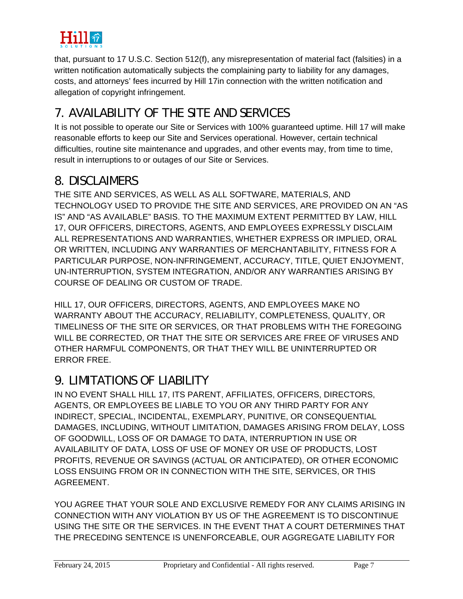

that, pursuant to 17 U.S.C. Section 512(f), any misrepresentation of material fact (falsities) in a written notification automatically subjects the complaining party to liability for any damages, costs, and attorneys' fees incurred by Hill 17in connection with the written notification and allegation of copyright infringement.

# 7. AVAILABILITY OF THE SITE AND SERVICES

It is not possible to operate our Site or Services with 100% guaranteed uptime. Hill 17 will make reasonable efforts to keep our Site and Services operational. However, certain technical difficulties, routine site maintenance and upgrades, and other events may, from time to time, result in interruptions to or outages of our Site or Services.

#### 8. DISCLAIMERS

THE SITE AND SERVICES, AS WELL AS ALL SOFTWARE, MATERIALS, AND TECHNOLOGY USED TO PROVIDE THE SITE AND SERVICES, ARE PROVIDED ON AN "AS IS" AND "AS AVAILABLE" BASIS. TO THE MAXIMUM EXTENT PERMITTED BY LAW, HILL 17, OUR OFFICERS, DIRECTORS, AGENTS, AND EMPLOYEES EXPRESSLY DISCLAIM ALL REPRESENTATIONS AND WARRANTIES, WHETHER EXPRESS OR IMPLIED, ORAL OR WRITTEN, INCLUDING ANY WARRANTIES OF MERCHANTABILITY, FITNESS FOR A PARTICULAR PURPOSE, NON-INFRINGEMENT, ACCURACY, TITLE, QUIET ENJOYMENT, UN-INTERRUPTION, SYSTEM INTEGRATION, AND/OR ANY WARRANTIES ARISING BY COURSE OF DEALING OR CUSTOM OF TRADE.

HILL 17, OUR OFFICERS, DIRECTORS, AGENTS, AND EMPLOYEES MAKE NO WARRANTY ABOUT THE ACCURACY, RELIABILITY, COMPLETENESS, QUALITY, OR TIMELINESS OF THE SITE OR SERVICES, OR THAT PROBLEMS WITH THE FOREGOING WILL BE CORRECTED, OR THAT THE SITE OR SERVICES ARE FREE OF VIRUSES AND OTHER HARMFUL COMPONENTS, OR THAT THEY WILL BE UNINTERRUPTED OR ERROR FREE.

#### 9. LIMITATIONS OF LIABILITY

IN NO EVENT SHALL HILL 17, ITS PARENT, AFFILIATES, OFFICERS, DIRECTORS, AGENTS, OR EMPLOYEES BE LIABLE TO YOU OR ANY THIRD PARTY FOR ANY INDIRECT, SPECIAL, INCIDENTAL, EXEMPLARY, PUNITIVE, OR CONSEQUENTIAL DAMAGES, INCLUDING, WITHOUT LIMITATION, DAMAGES ARISING FROM DELAY, LOSS OF GOODWILL, LOSS OF OR DAMAGE TO DATA, INTERRUPTION IN USE OR AVAILABILITY OF DATA, LOSS OF USE OF MONEY OR USE OF PRODUCTS, LOST PROFITS, REVENUE OR SAVINGS (ACTUAL OR ANTICIPATED), OR OTHER ECONOMIC LOSS ENSUING FROM OR IN CONNECTION WITH THE SITE, SERVICES, OR THIS AGREEMENT.

YOU AGREE THAT YOUR SOLE AND EXCLUSIVE REMEDY FOR ANY CLAIMS ARISING IN CONNECTION WITH ANY VIOLATION BY US OF THE AGREEMENT IS TO DISCONTINUE USING THE SITE OR THE SERVICES. IN THE EVENT THAT A COURT DETERMINES THAT THE PRECEDING SENTENCE IS UNENFORCEABLE, OUR AGGREGATE LIABILITY FOR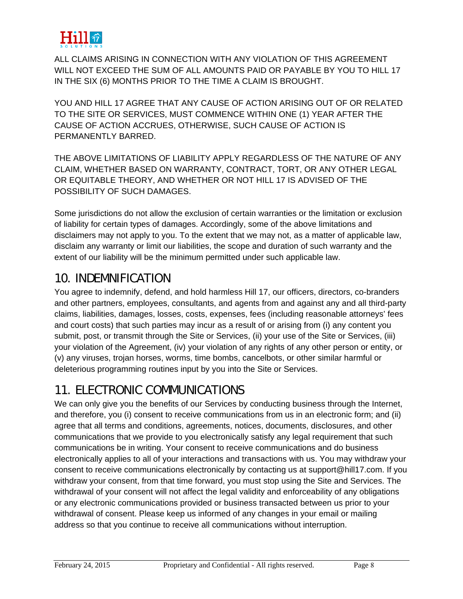

ALL CLAIMS ARISING IN CONNECTION WITH ANY VIOLATION OF THIS AGREEMENT WILL NOT EXCEED THE SUM OF ALL AMOUNTS PAID OR PAYABLE BY YOU TO HILL 17 IN THE SIX (6) MONTHS PRIOR TO THE TIME A CLAIM IS BROUGHT.

YOU AND HILL 17 AGREE THAT ANY CAUSE OF ACTION ARISING OUT OF OR RELATED TO THE SITE OR SERVICES, MUST COMMENCE WITHIN ONE (1) YEAR AFTER THE CAUSE OF ACTION ACCRUES, OTHERWISE, SUCH CAUSE OF ACTION IS PERMANENTLY BARRED.

THE ABOVE LIMITATIONS OF LIABILITY APPLY REGARDLESS OF THE NATURE OF ANY CLAIM, WHETHER BASED ON WARRANTY, CONTRACT, TORT, OR ANY OTHER LEGAL OR EQUITABLE THEORY, AND WHETHER OR NOT HILL 17 IS ADVISED OF THE POSSIBILITY OF SUCH DAMAGES.

Some jurisdictions do not allow the exclusion of certain warranties or the limitation or exclusion of liability for certain types of damages. Accordingly, some of the above limitations and disclaimers may not apply to you. To the extent that we may not, as a matter of applicable law, disclaim any warranty or limit our liabilities, the scope and duration of such warranty and the extent of our liability will be the minimum permitted under such applicable law.

#### 10. INDEMNIFICATION

You agree to indemnify, defend, and hold harmless Hill 17, our officers, directors, co-branders and other partners, employees, consultants, and agents from and against any and all third-party claims, liabilities, damages, losses, costs, expenses, fees (including reasonable attorneys' fees and court costs) that such parties may incur as a result of or arising from (i) any content you submit, post, or transmit through the Site or Services, (ii) your use of the Site or Services, (iii) your violation of the Agreement, (iv) your violation of any rights of any other person or entity, or (v) any viruses, trojan horses, worms, time bombs, cancelbots, or other similar harmful or deleterious programming routines input by you into the Site or Services.

### 11. ELECTRONIC COMMUNICATIONS

We can only give you the benefits of our Services by conducting business through the Internet, and therefore, you (i) consent to receive communications from us in an electronic form; and (ii) agree that all terms and conditions, agreements, notices, documents, disclosures, and other communications that we provide to you electronically satisfy any legal requirement that such communications be in writing. Your consent to receive communications and do business electronically applies to all of your interactions and transactions with us. You may withdraw your consent to receive communications electronically by contacting us at support@hill17.com. If you withdraw your consent, from that time forward, you must stop using the Site and Services. The withdrawal of your consent will not affect the legal validity and enforceability of any obligations or any electronic communications provided or business transacted between us prior to your withdrawal of consent. Please keep us informed of any changes in your email or mailing address so that you continue to receive all communications without interruption.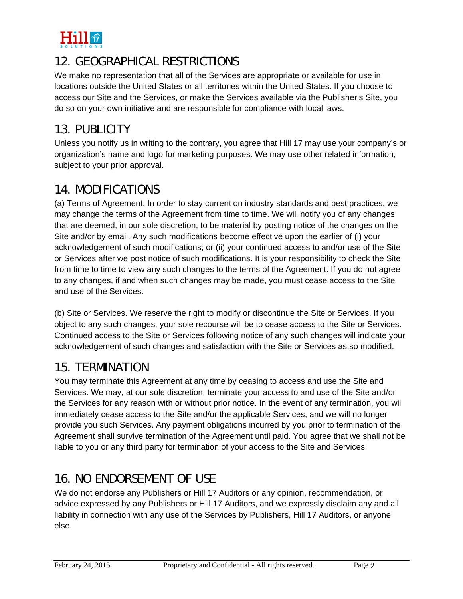

# 12. GEOGRAPHICAL RESTRICTIONS

We make no representation that all of the Services are appropriate or available for use in locations outside the United States or all territories within the United States. If you choose to access our Site and the Services, or make the Services available via the Publisher's Site, you do so on your own initiative and are responsible for compliance with local laws.

# 13. PUBLICITY

Unless you notify us in writing to the contrary, you agree that Hill 17 may use your company's or organization's name and logo for marketing purposes. We may use other related information, subject to your prior approval.

#### 14. MODIFICATIONS

(a) Terms of Agreement. In order to stay current on industry standards and best practices, we may change the terms of the Agreement from time to time. We will notify you of any changes that are deemed, in our sole discretion, to be material by posting notice of the changes on the Site and/or by email. Any such modifications become effective upon the earlier of (i) your acknowledgement of such modifications; or (ii) your continued access to and/or use of the Site or Services after we post notice of such modifications. It is your responsibility to check the Site from time to time to view any such changes to the terms of the Agreement. If you do not agree to any changes, if and when such changes may be made, you must cease access to the Site and use of the Services.

(b) Site or Services. We reserve the right to modify or discontinue the Site or Services. If you object to any such changes, your sole recourse will be to cease access to the Site or Services. Continued access to the Site or Services following notice of any such changes will indicate your acknowledgement of such changes and satisfaction with the Site or Services as so modified.

# 15. TERMINATION

You may terminate this Agreement at any time by ceasing to access and use the Site and Services. We may, at our sole discretion, terminate your access to and use of the Site and/or the Services for any reason with or without prior notice. In the event of any termination, you will immediately cease access to the Site and/or the applicable Services, and we will no longer provide you such Services. Any payment obligations incurred by you prior to termination of the Agreement shall survive termination of the Agreement until paid. You agree that we shall not be liable to you or any third party for termination of your access to the Site and Services.

# 16. NO ENDORSEMENT OF USE

We do not endorse any Publishers or Hill 17 Auditors or any opinion, recommendation, or advice expressed by any Publishers or Hill 17 Auditors, and we expressly disclaim any and all liability in connection with any use of the Services by Publishers, Hill 17 Auditors, or anyone else.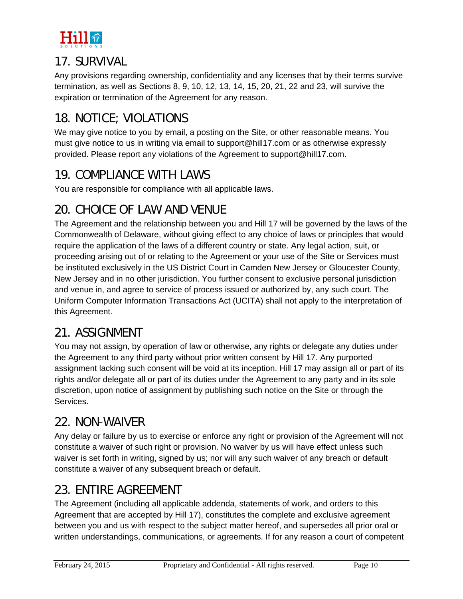

#### 17. SURVIVAL

Any provisions regarding ownership, confidentiality and any licenses that by their terms survive termination, as well as Sections 8, 9, 10, 12, 13, 14, 15, 20, 21, 22 and 23, will survive the expiration or termination of the Agreement for any reason.

# 18. NOTICE; VIOLATIONS

We may give notice to you by email, a posting on the Site, or other reasonable means. You must give notice to us in writing via email to support@hill17.com or as otherwise expressly provided. Please report any violations of the Agreement to support@hill17.com.

#### 19. COMPLIANCE WITH LAWS

You are responsible for compliance with all applicable laws.

# 20. CHOICE OF LAW AND VENUE

The Agreement and the relationship between you and Hill 17 will be governed by the laws of the Commonwealth of Delaware, without giving effect to any choice of laws or principles that would require the application of the laws of a different country or state. Any legal action, suit, or proceeding arising out of or relating to the Agreement or your use of the Site or Services must be instituted exclusively in the US District Court in Camden New Jersey or Gloucester County, New Jersey and in no other jurisdiction. You further consent to exclusive personal jurisdiction and venue in, and agree to service of process issued or authorized by, any such court. The Uniform Computer Information Transactions Act (UCITA) shall not apply to the interpretation of this Agreement.

# 21. ASSIGNMENT

You may not assign, by operation of law or otherwise, any rights or delegate any duties under the Agreement to any third party without prior written consent by Hill 17. Any purported assignment lacking such consent will be void at its inception. Hill 17 may assign all or part of its rights and/or delegate all or part of its duties under the Agreement to any party and in its sole discretion, upon notice of assignment by publishing such notice on the Site or through the Services.

### 22. NON-WAIVER

Any delay or failure by us to exercise or enforce any right or provision of the Agreement will not constitute a waiver of such right or provision. No waiver by us will have effect unless such waiver is set forth in writing, signed by us; nor will any such waiver of any breach or default constitute a waiver of any subsequent breach or default.

### 23. ENTIRE AGREEMENT

The Agreement (including all applicable addenda, statements of work, and orders to this Agreement that are accepted by Hill 17), constitutes the complete and exclusive agreement between you and us with respect to the subject matter hereof, and supersedes all prior oral or written understandings, communications, or agreements. If for any reason a court of competent